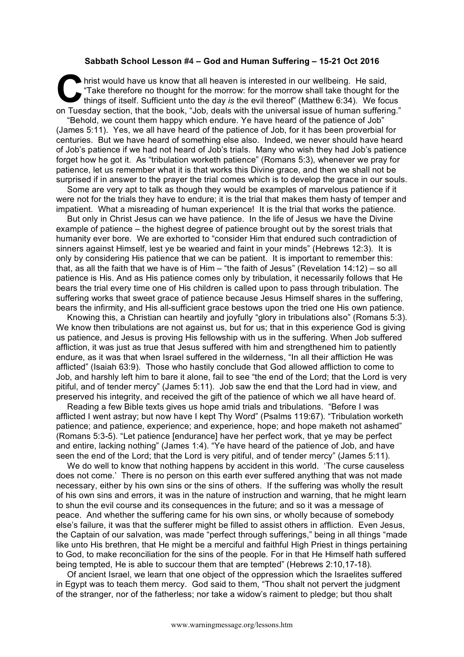## **Sabbath School Lesson #4 – God and Human Suffering – 15-21 Oct 2016**

hrist would have us know that all heaven is interested in our wellbeing. He said, "Take therefore no thought for the morrow: for the morrow shall take thought for the things of itself. Sufficient unto the day *is* the evil thereof" (Matthew 6:34). We focus on Tuesday section, that the book, "Job, deals with the universal issue of human suffering." **C** this

"Behold, we count them happy which endure. Ye have heard of the patience of Job" (James 5:11). Yes, we all have heard of the patience of Job, for it has been proverbial for centuries. But we have heard of something else also. Indeed, we never should have heard of Job's patience if we had not heard of Job's trials. Many who wish they had Job's patience forget how he got it. As "tribulation worketh patience" (Romans 5:3), whenever we pray for patience, let us remember what it is that works this Divine grace, and then we shall not be surprised if in answer to the prayer the trial comes which is to develop the grace in our souls.

Some are very apt to talk as though they would be examples of marvelous patience if it were not for the trials they have to endure; it is the trial that makes them hasty of temper and impatient. What a misreading of human experience! It is the trial that works the patience.

But only in Christ Jesus can we have patience. In the life of Jesus we have the Divine example of patience – the highest degree of patience brought out by the sorest trials that humanity ever bore. We are exhorted to "consider Him that endured such contradiction of sinners against Himself, lest ye be wearied and faint in your minds" (Hebrews 12:3). It is only by considering His patience that we can be patient. It is important to remember this: that, as all the faith that we have is of Him – "the faith of Jesus" (Revelation 14:12) – so all patience is His. And as His patience comes only by tribulation, it necessarily follows that He bears the trial every time one of His children is called upon to pass through tribulation. The suffering works that sweet grace of patience because Jesus Himself shares in the suffering, bears the infirmity, and His all-sufficient grace bestows upon the tried one His own patience.

Knowing this, a Christian can heartily and joyfully "glory in tribulations also" (Romans 5:3). We know then tribulations are not against us, but for us; that in this experience God is giving us patience, and Jesus is proving His fellowship with us in the suffering. When Job suffered affliction, it was just as true that Jesus suffered with him and strengthened him to patiently endure, as it was that when Israel suffered in the wilderness, "In all their affliction He was afflicted" (Isaiah 63:9). Those who hastily conclude that God allowed affliction to come to Job, and harshly left him to bare it alone, fail to see "the end of the Lord; that the Lord is very pitiful, and of tender mercy" (James 5:11). Job saw the end that the Lord had in view, and preserved his integrity, and received the gift of the patience of which we all have heard of.

Reading a few Bible texts gives us hope amid trials and tribulations. "Before I was afflicted I went astray; but now have I kept Thy Word" (Psalms 119:67). "Tribulation worketh patience; and patience, experience; and experience, hope; and hope maketh not ashamed" (Romans 5:3-5). "Let patience [endurance] have her perfect work, that ye may be perfect and entire, lacking nothing" (James 1:4). "Ye have heard of the patience of Job, and have seen the end of the Lord; that the Lord is very pitiful, and of tender mercy" (James 5:11).

We do well to know that nothing happens by accident in this world. 'The curse causeless does not come.' There is no person on this earth ever suffered anything that was not made necessary, either by his own sins or the sins of others. If the suffering was wholly the result of his own sins and errors, it was in the nature of instruction and warning, that he might learn to shun the evil course and its consequences in the future; and so it was a message of peace. And whether the suffering came for his own sins, or wholly because of somebody else's failure, it was that the sufferer might be filled to assist others in affliction. Even Jesus, the Captain of our salvation, was made "perfect through sufferings," being in all things "made like unto His brethren, that He might be a merciful and faithful High Priest in things pertaining to God, to make reconciliation for the sins of the people. For in that He Himself hath suffered being tempted, He is able to succour them that are tempted" (Hebrews 2:10,17-18).

Of ancient Israel, we learn that one object of the oppression which the Israelites suffered in Egypt was to teach them mercy. God said to them, "Thou shalt not pervert the judgment of the stranger, nor of the fatherless; nor take a widow's raiment to pledge; but thou shalt